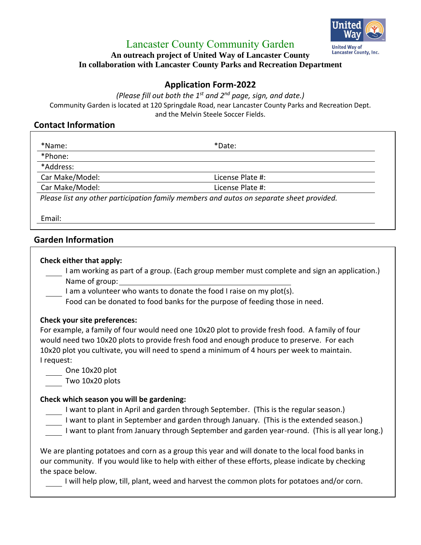

## Lancaster County Community Garden

#### **An outreach project of United Way of Lancaster County In collaboration with Lancaster County Parks and Recreation Department**

## **Application Form-2022**

*(Please fill out both the 1st and 2nd page, sign, and date.)*

Community Garden is located at 120 Springdale Road, near Lancaster County Parks and Recreation Dept. and the Melvin Steele Soccer Fields.

### **Contact Information**

| *Name:<br>*Phone: | *Date:           |  |
|-------------------|------------------|--|
| *Address:         |                  |  |
| Car Make/Model:   | License Plate #: |  |
| Car Make/Model:   | License Plate #: |  |

Email:

## **Garden Information**

#### **Check either that apply:**

I am working as part of a group. (Each group member must complete and sign an application.) Name of group:

- I am a volunteer who wants to donate the food I raise on my plot(s).
- Food can be donated to food banks for the purpose of feeding those in need.

#### **Check your site preferences:**

For example, a family of four would need one 10x20 plot to provide fresh food. A family of four would need two 10x20 plots to provide fresh food and enough produce to preserve. For each 10x20 plot you cultivate, you will need to spend a minimum of 4 hours per week to maintain. I request:

One 10x20 plot

Two 10x20 plots

#### **Check which season you will be gardening:**

I want to plant in April and garden through September. (This is the regular season.)

- I want to plant in September and garden through January. (This is the extended season.)
- I want to plant from January through September and garden year-round. (This is all year long.)

We are planting potatoes and corn as a group this year and will donate to the local food banks in our community. If you would like to help with either of these efforts, please indicate by checking the space below.

I will help plow, till, plant, weed and harvest the common plots for potatoes and/or corn.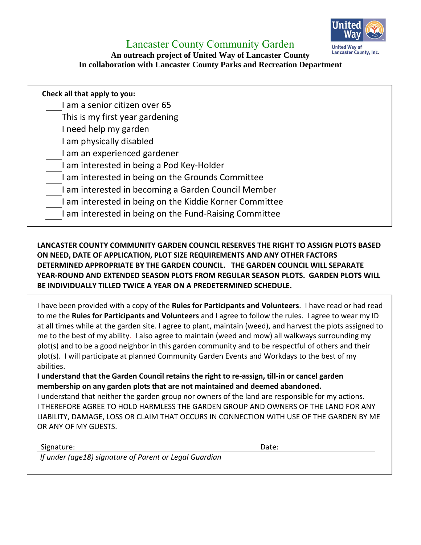

## Lancaster County Community Garden

### **An outreach project of United Way of Lancaster County In collaboration with Lancaster County Parks and Recreation Department**

| Check all that apply to you: |                                                         |  |  |  |
|------------------------------|---------------------------------------------------------|--|--|--|
|                              | I am a senior citizen over 65                           |  |  |  |
|                              | This is my first year gardening                         |  |  |  |
|                              | I need help my garden                                   |  |  |  |
|                              | I am physically disabled                                |  |  |  |
|                              | I am an experienced gardener                            |  |  |  |
|                              | I am interested in being a Pod Key-Holder               |  |  |  |
|                              | I am interested in being on the Grounds Committee       |  |  |  |
|                              | I am interested in becoming a Garden Council Member     |  |  |  |
|                              | I am interested in being on the Kiddie Korner Committee |  |  |  |
|                              | I am interested in being on the Fund-Raising Committee  |  |  |  |
|                              |                                                         |  |  |  |

## **LANCASTER COUNTY COMMUNITY GARDEN COUNCIL RESERVES THE RIGHT TO ASSIGN PLOTS BASED ON NEED, DATE OF APPLICATION, PLOT SIZE REQUIREMENTS AND ANY OTHER FACTORS DETERMINED APPROPRIATE BY THE GARDEN COUNCIL. THE GARDEN COUNCIL WILL SEPARATE YEAR-ROUND AND EXTENDED SEASON PLOTS FROM REGULAR SEASON PLOTS. GARDEN PLOTS WILL BE INDIVIDUALLY TILLED TWICE A YEAR ON A PREDETERMINED SCHEDULE.**

I have been provided with a copy of the **Rules for Participants and Volunteers**. I have read or had read to me the **Rules for Participants and Volunteers** and I agree to follow the rules. I agree to wear my ID at all times while at the garden site. I agree to plant, maintain (weed), and harvest the plots assigned to me to the best of my ability. I also agree to maintain (weed and mow) all walkways surrounding my plot(s) and to be a good neighbor in this garden community and to be respectful of others and their plot(s). I will participate at planned Community Garden Events and Workdays to the best of my abilities.

**I understand that the Garden Council retains the right to re-assign, till-in or cancel garden membership on any garden plots that are not maintained and deemed abandoned.** 

I understand that neither the garden group nor owners of the land are responsible for my actions. I THEREFORE AGREE TO HOLD HARMLESS THE GARDEN GROUP AND OWNERS OF THE LAND FOR ANY LIABILITY, DAMAGE, LOSS OR CLAIM THAT OCCURS IN CONNECTION WITH USE OF THE GARDEN BY ME OR ANY OF MY GUESTS.

Signature: **Date:** Date: **Date:** Date: **Date: Date: Date: Date: Date: Date: Date: Date: Date: Date: Date: Date: Date: Date: Date: Date: Date: Date: Date: Date: Date: Date: Date:** 

*If under (age18) signature of Parent or Legal Guardian*